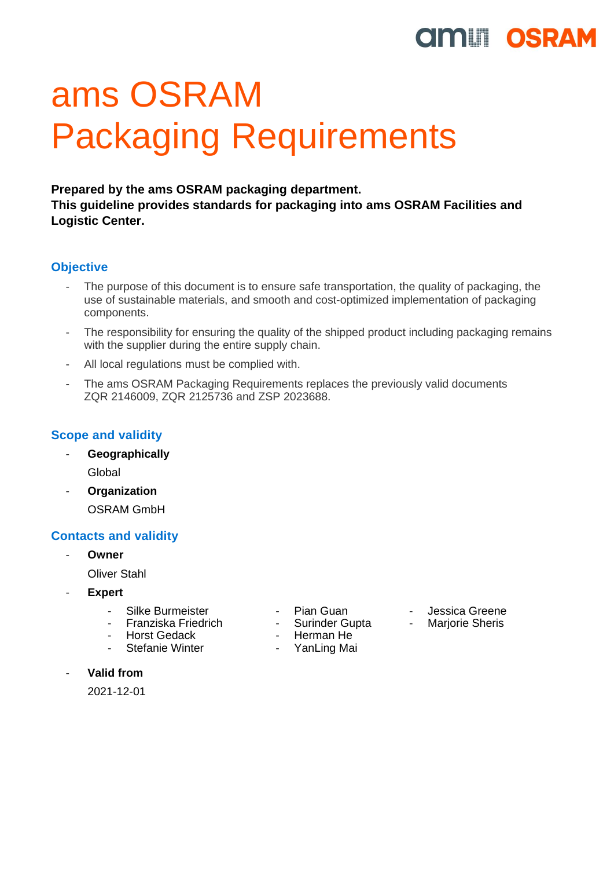# **UMILI OSRAM**

# ams OSRAM Packaging Requirements

**Prepared by the ams OSRAM packaging department. This guideline provides standards for packaging into ams OSRAM Facilities and Logistic Center.** 

# **Objective**

- The purpose of this document is to ensure safe transportation, the quality of packaging, the use of sustainable materials, and smooth and cost-optimized implementation of packaging components.
- The responsibility for ensuring the quality of the shipped product including packaging remains with the supplier during the entire supply chain.
- All local regulations must be complied with.
- The ams OSRAM Packaging Requirements replaces the previously valid documents ZQR 2146009, ZQR 2125736 and ZSP 2023688.

# **Scope and validity**

- **Geographically** Global
- **Organization** OSRAM GmbH

# **Contacts and validity**

- **Owner**

Oliver Stahl

- **Expert**
	-
	- Silke Burmeister - Pian Guan Jessica Greene<br>- Franziska Friedrich - Surinder Gupta Marjorie Sheris - Franziska Friedrich - Surinder Gupta<br>- Horst Gedack - Herman He
	-
	- Stefanie Winter YanLing Mai
- 
- 
- 
- Herman He

- **Valid from**

2021-12-01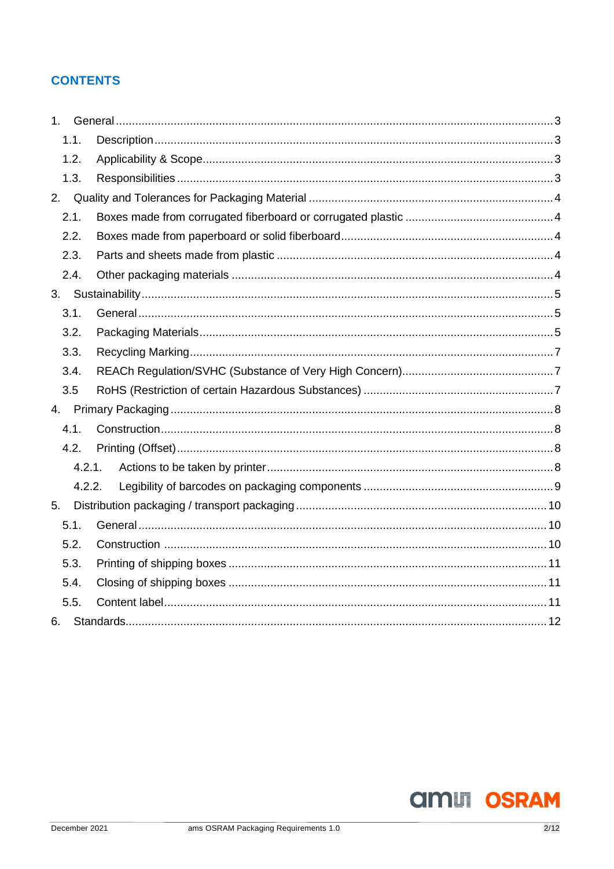# **CONTENTS**

| 1 <sup>1</sup> |      |        |  |
|----------------|------|--------|--|
|                | 1.1. |        |  |
|                | 1.2. |        |  |
|                | 1.3. |        |  |
| 2.             |      |        |  |
|                | 2.1. |        |  |
|                | 2.2. |        |  |
|                | 2.3. |        |  |
|                | 2.4. |        |  |
| 3.             |      |        |  |
|                | 3.1. |        |  |
|                | 3.2. |        |  |
|                | 3.3. |        |  |
|                | 3.4. |        |  |
|                | 3.5  |        |  |
| 4.             |      |        |  |
|                | 4.1. |        |  |
|                | 4.2. |        |  |
|                |      | 4.2.1. |  |
|                |      | 4.2.2. |  |
| 5.             |      |        |  |
|                | 5.1. |        |  |
|                | 5.2. |        |  |
|                | 5.3. |        |  |
|                | 5.4. |        |  |
|                | 5.5. |        |  |
| 6.             |      |        |  |

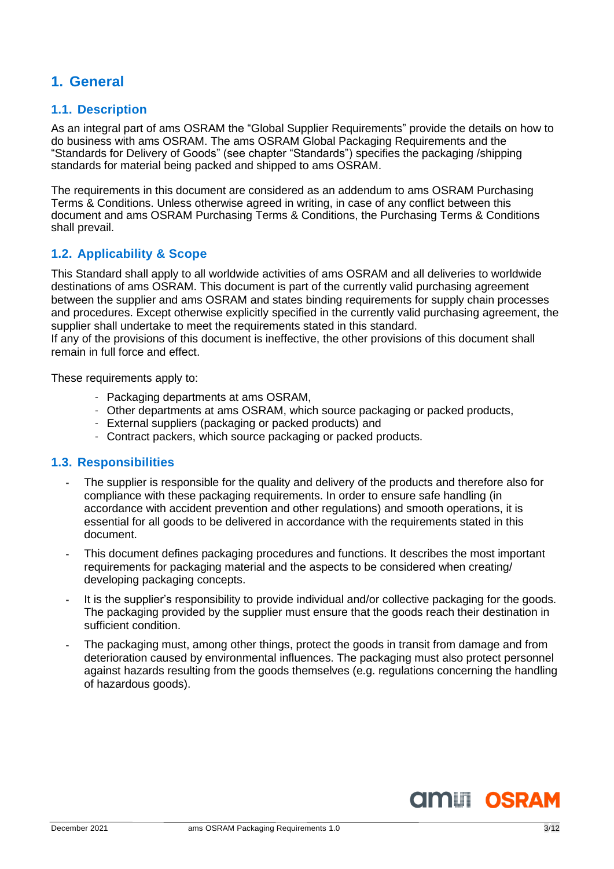# <span id="page-2-0"></span>**1. General**

# <span id="page-2-1"></span>**1.1. Description**

As an integral part of ams OSRAM the "Global Supplier Requirements" provide the details on how to do business with ams OSRAM. The ams OSRAM Global Packaging Requirements and the "Standards for Delivery of Goods" (see chapter "Standards") specifies the packaging /shipping standards for material being packed and shipped to ams OSRAM.

The requirements in this document are considered as an addendum to ams OSRAM Purchasing Terms & Conditions. Unless otherwise agreed in writing, in case of any conflict between this document and ams OSRAM Purchasing Terms & Conditions, the Purchasing Terms & Conditions shall prevail.

# <span id="page-2-2"></span>**1.2. Applicability & Scope**

This Standard shall apply to all worldwide activities of ams OSRAM and all deliveries to worldwide destinations of ams OSRAM. This document is part of the currently valid purchasing agreement between the supplier and ams OSRAM and states binding requirements for supply chain processes and procedures. Except otherwise explicitly specified in the currently valid purchasing agreement, the supplier shall undertake to meet the requirements stated in this standard.

If any of the provisions of this document is ineffective, the other provisions of this document shall remain in full force and effect.

These requirements apply to:

- Packaging departments at ams OSRAM,
- Other departments at ams OSRAM, which source packaging or packed products,
- External suppliers (packaging or packed products) and
- Contract packers, which source packaging or packed products.

# <span id="page-2-3"></span>**1.3. Responsibilities**

- **-** The supplier is responsible for the quality and delivery of the products and therefore also for compliance with these packaging requirements. In order to ensure safe handling (in accordance with accident prevention and other regulations) and smooth operations, it is essential for all goods to be delivered in accordance with the requirements stated in this document.
- **-** This document defines packaging procedures and functions. It describes the most important requirements for packaging material and the aspects to be considered when creating/ developing packaging concepts.
- **-** It is the supplier's responsibility to provide individual and/or collective packaging for the goods. The packaging provided by the supplier must ensure that the goods reach their destination in sufficient condition.
- **-** The packaging must, among other things, protect the goods in transit from damage and from deterioration caused by environmental influences. The packaging must also protect personnel against hazards resulting from the goods themselves (e.g. regulations concerning the handling of hazardous goods).

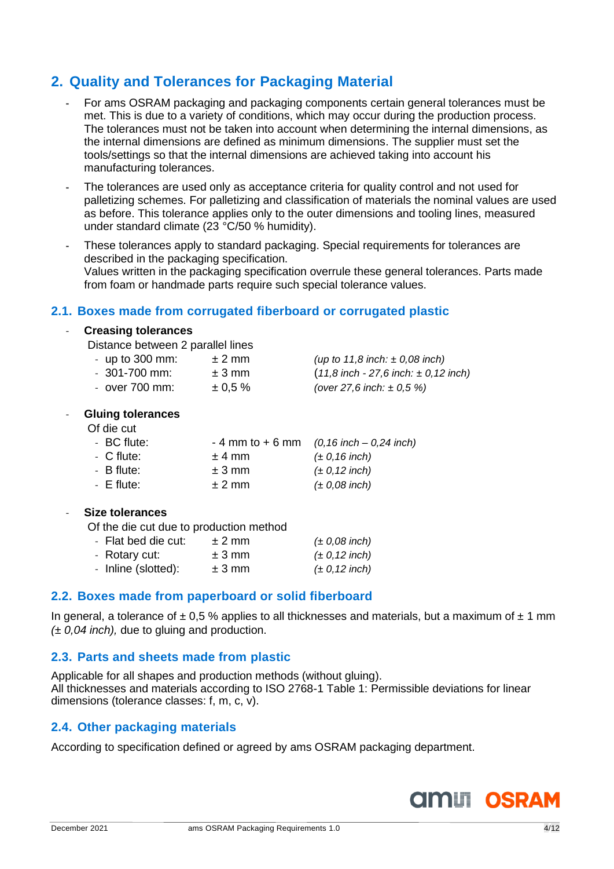# <span id="page-3-0"></span>**2. Quality and Tolerances for Packaging Material**

- **-** For ams OSRAM packaging and packaging components certain general tolerances must be met. This is due to a variety of conditions, which may occur during the production process. The tolerances must not be taken into account when determining the internal dimensions, as the internal dimensions are defined as minimum dimensions. The supplier must set the tools/settings so that the internal dimensions are achieved taking into account his manufacturing tolerances.
- **-** The tolerances are used only as acceptance criteria for quality control and not used for palletizing schemes. For palletizing and classification of materials the nominal values are used as before. This tolerance applies only to the outer dimensions and tooling lines, measured under standard climate (23 °C/50 % humidity).
- **-** These tolerances apply to standard packaging. Special requirements for tolerances are described in the packaging specification. Values written in the packaging specification overrule these general tolerances. Parts made from foam or handmade parts require such special tolerance values.

# <span id="page-3-1"></span>**2.1. Boxes made from corrugated fiberboard or corrugated plastic**

#### - **Creasing tolerances**

Distance between 2 parallel lines

| - up to $300$ mm: | $±$ 2 mm     | (up to 11,8 inch: $\pm$ 0,08 inch)         |
|-------------------|--------------|--------------------------------------------|
| $-301 - 700$ mm:  | $± 3$ mm     | $(11,8$ inch - 27,6 inch: $\pm$ 0,12 inch) |
| $-$ over 700 mm:  | $\pm 0.5 \%$ | (over 27,6 inch: $\pm$ 0,5 %)              |

#### - **Gluing tolerances**

Of die cut

| - BC flute: |          | $-4$ mm to $+6$ mm (0,16 inch $-$ 0,24 inch) |
|-------------|----------|----------------------------------------------|
| - C flute:  | $± 4$ mm | $(\pm 0, 16$ inch)                           |
| - B flute:  | $± 3$ mm | $(\pm 0, 12 \text{ inch})$                   |
| $-E$ flute: | $± 2$ mm | $(\pm 0.08$ inch)                            |

#### - **Size tolerances**

Of the die cut due to production method

| - Flat bed die cut: | $±$ 2 mm | $(\pm 0.08$ inch)  |
|---------------------|----------|--------------------|
| - Rotary cut:       | $± 3$ mm | $(\pm 0, 12$ inch) |
| - Inline (slotted): | $± 3$ mm | $(\pm 0, 12$ inch) |

# <span id="page-3-2"></span>**2.2. Boxes made from paperboard or solid fiberboard**

In general, a tolerance of  $\pm$  0,5 % applies to all thicknesses and materials, but a maximum of  $\pm$  1 mm *(± 0,04 inch),* due to gluing and production.

# <span id="page-3-3"></span>**2.3. Parts and sheets made from plastic**

Applicable for all shapes and production methods (without gluing). All thicknesses and materials according to ISO 2768-1 Table 1: Permissible deviations for linear dimensions (tolerance classes: f, m, c, v).

# <span id="page-3-4"></span>**2.4. Other packaging materials**

According to specification defined or agreed by ams OSRAM packaging department.

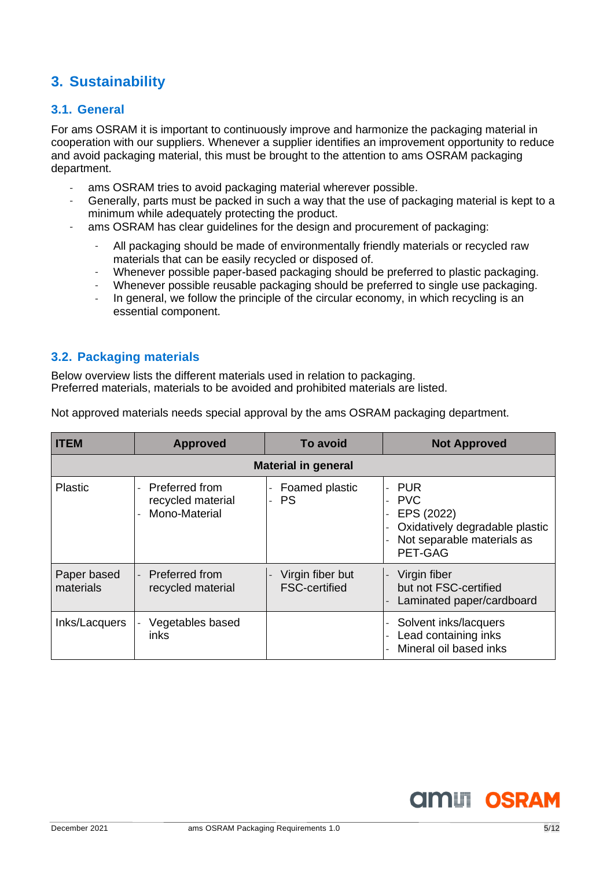# <span id="page-4-0"></span>**3. Sustainability**

# <span id="page-4-1"></span>**3.1. General**

For ams OSRAM it is important to continuously improve and harmonize the packaging material in cooperation with our suppliers. Whenever a supplier identifies an improvement opportunity to reduce and avoid packaging material, this must be brought to the attention to ams OSRAM packaging department.

- ams OSRAM tries to avoid packaging material wherever possible.
- Generally, parts must be packed in such a way that the use of packaging material is kept to a minimum while adequately protecting the product.
- ams OSRAM has clear guidelines for the design and procurement of packaging:
	- All packaging should be made of environmentally friendly materials or recycled raw materials that can be easily recycled or disposed of.
	- Whenever possible paper-based packaging should be preferred to plastic packaging.
	- Whenever possible reusable packaging should be preferred to single use packaging.
	- In general, we follow the principle of the circular economy, in which recycling is an essential component.

# **3.2. Packaging materials**

Below overview lists the different materials used in relation to packaging. Preferred materials, materials to be avoided and prohibited materials are listed.

Not approved materials needs special approval by the ams OSRAM packaging department.

| <b>ITEM</b>              | <b>Approved</b>                                      | <b>To avoid</b>                          | <b>Not Approved</b>                                                                                               |  |  |  |
|--------------------------|------------------------------------------------------|------------------------------------------|-------------------------------------------------------------------------------------------------------------------|--|--|--|
|                          | <b>Material in general</b>                           |                                          |                                                                                                                   |  |  |  |
| Plastic                  | Preferred from<br>recycled material<br>Mono-Material | Foamed plastic<br>-<br><b>PS</b>         | <b>PUR</b><br><b>PVC</b><br>EPS (2022)<br>Oxidatively degradable plastic<br>Not separable materials as<br>PET-GAG |  |  |  |
| Paper based<br>materials | Preferred from<br>recycled material                  | Virgin fiber but<br><b>FSC-certified</b> | Virgin fiber<br>but not FSC-certified<br>Laminated paper/cardboard                                                |  |  |  |
| Inks/Lacquers            | Vegetables based<br>inks                             |                                          | - Solvent inks/lacquers<br>Lead containing inks<br>Mineral oil based inks                                         |  |  |  |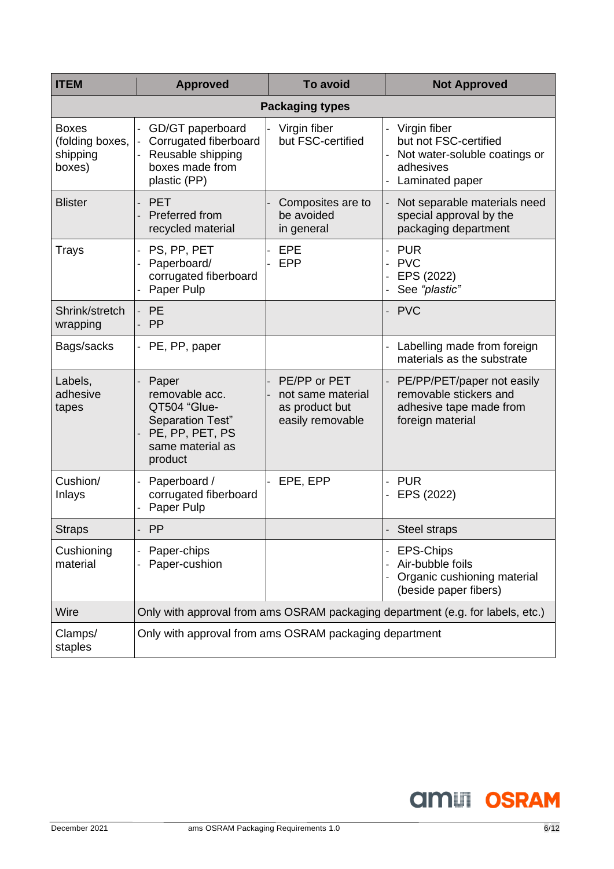| <b>ITEM</b>                                           | <b>Approved</b>                                                                                               | <b>To avoid</b>                                                         | <b>Not Approved</b>                                                                                    |  |
|-------------------------------------------------------|---------------------------------------------------------------------------------------------------------------|-------------------------------------------------------------------------|--------------------------------------------------------------------------------------------------------|--|
|                                                       |                                                                                                               |                                                                         |                                                                                                        |  |
| <b>Boxes</b><br>(folding boxes,<br>shipping<br>boxes) | GD/GT paperboard<br>Corrugated fiberboard<br>Reusable shipping<br>boxes made from<br>plastic (PP)             | Virgin fiber<br>but FSC-certified                                       | Virgin fiber<br>but not FSC-certified<br>Not water-soluble coatings or<br>adhesives<br>Laminated paper |  |
| <b>Blister</b>                                        | <b>PET</b><br>Preferred from<br>recycled material                                                             | Composites are to<br>be avoided<br>in general                           | Not separable materials need<br>special approval by the<br>packaging department                        |  |
| Trays                                                 | PS, PP, PET<br>Paperboard/<br>corrugated fiberboard<br>Paper Pulp                                             | EPE<br>EPP                                                              | <b>PUR</b><br><b>PVC</b><br>EPS (2022)<br>See "plastic"                                                |  |
| Shrink/stretch<br>wrapping                            | PE<br>PP                                                                                                      |                                                                         | <b>PVC</b>                                                                                             |  |
| Bags/sacks                                            | PE, PP, paper<br>$\overline{\phantom{0}}$                                                                     |                                                                         | Labelling made from foreign<br>materials as the substrate                                              |  |
| Labels,<br>adhesive<br>tapes                          | Paper<br>removable acc.<br>QT504 "Glue-<br>Separation Test"<br>PE, PP, PET, PS<br>same material as<br>product | PE/PP or PET<br>not same material<br>as product but<br>easily removable | PE/PP/PET/paper not easily<br>removable stickers and<br>adhesive tape made from<br>foreign material    |  |
| Cushion/<br>Inlays                                    | Paperboard /<br>corrugated fiberboard<br>Paper Pulp                                                           | EPE, EPP                                                                | <b>PUR</b><br>EPS (2022)                                                                               |  |
| <b>Straps</b>                                         | PP                                                                                                            |                                                                         | Steel straps                                                                                           |  |
| Cushioning<br>material                                | Paper-chips<br>Paper-cushion                                                                                  |                                                                         | EPS-Chips<br>Air-bubble foils<br>Organic cushioning material<br>(beside paper fibers)                  |  |
| Wire                                                  | Only with approval from ams OSRAM packaging department (e.g. for labels, etc.)                                |                                                                         |                                                                                                        |  |
| Clamps/<br>staples                                    | Only with approval from ams OSRAM packaging department                                                        |                                                                         |                                                                                                        |  |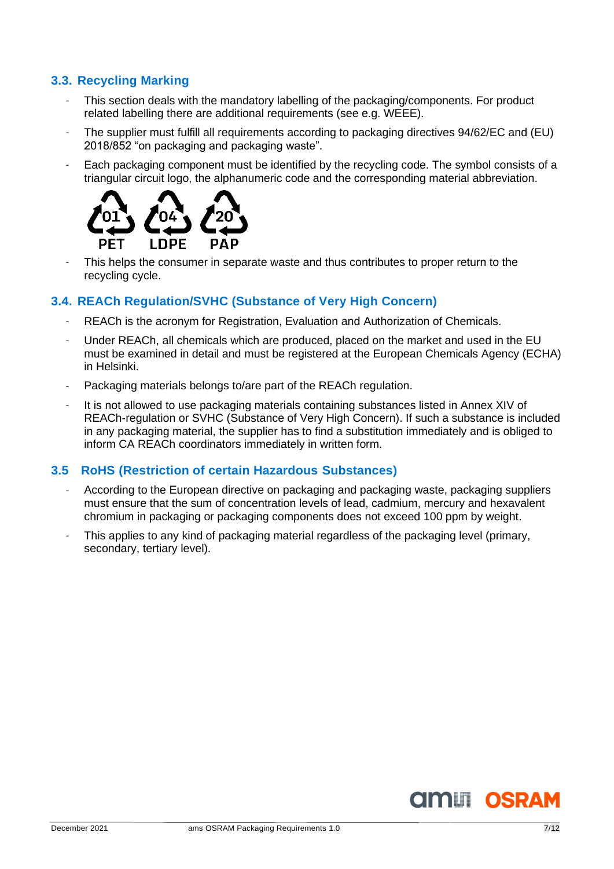# <span id="page-6-0"></span>**3.3. Recycling Marking**

- This section deals with the mandatory labelling of the packaging/components. For product related labelling there are additional requirements (see e.g. WEEE).
- The supplier must fulfill all requirements according to packaging directives 94/62/EC and (EU) 2018/852 "on packaging and packaging waste".
- Each packaging component must be identified by the recycling code. The symbol consists of a triangular circuit logo, the alphanumeric code and the corresponding material abbreviation.



This helps the consumer in separate waste and thus contributes to proper return to the recycling cycle.

# <span id="page-6-1"></span>**3.4. REACh Regulation/SVHC (Substance of Very High Concern)**

- REACh is the acronym for Registration, Evaluation and Authorization of Chemicals.
- Under REACh, all chemicals which are produced, placed on the market and used in the EU must be examined in detail and must be registered at the European Chemicals Agency (ECHA) in Helsinki.
- Packaging materials belongs to/are part of the REACh regulation.
- It is not allowed to use packaging materials containing substances listed in Annex XIV of REACh-regulation or SVHC (Substance of Very High Concern). If such a substance is included in any packaging material, the supplier has to find a substitution immediately and is obliged to inform CA REACh coordinators immediately in written form.

# <span id="page-6-2"></span>**3.5 RoHS (Restriction of certain Hazardous Substances)**

- According to the European directive on packaging and packaging waste, packaging suppliers must ensure that the sum of concentration levels of lead, cadmium, mercury and hexavalent chromium in packaging or packaging components does not exceed 100 ppm by weight.
- This applies to any kind of packaging material regardless of the packaging level (primary, secondary, tertiary level).

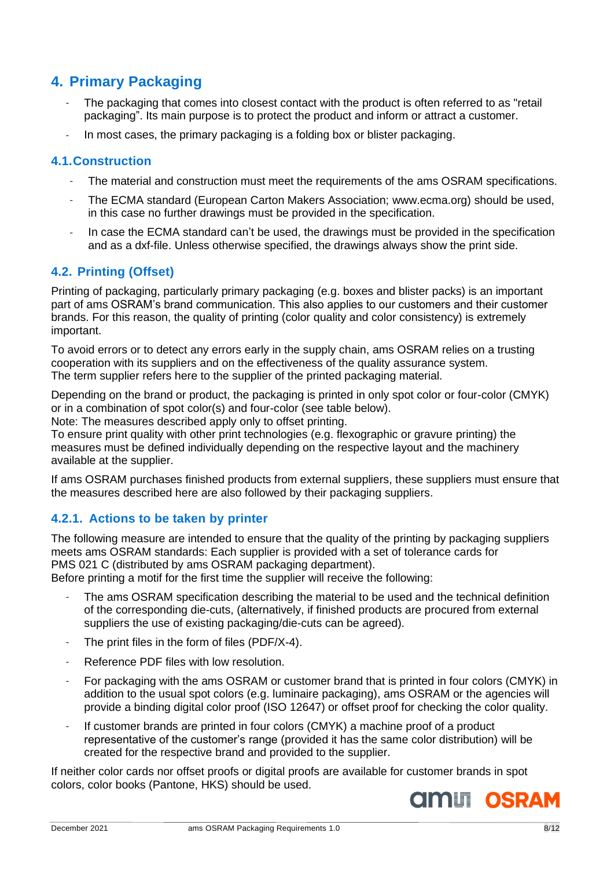# <span id="page-7-0"></span>**4. Primary Packaging**

- The packaging that comes into closest contact with the product is often referred to as "retail packaging". Its main purpose is to protect the product and inform or attract a customer.
- In most cases, the primary packaging is a folding box or blister packaging.

# <span id="page-7-1"></span>**4.1.Construction**

- The material and construction must meet the requirements of the ams OSRAM specifications.
- The ECMA standard (European Carton Makers Association; [www.ecma.org\)](http://www.ecma.org/) should be used, in this case no further drawings must be provided in the specification.
- In case the ECMA standard can't be used, the drawings must be provided in the specification and as a dxf-file. Unless otherwise specified, the drawings always show the print side.

# <span id="page-7-2"></span>**4.2. Printing (Offset)**

Printing of packaging, particularly primary packaging (e.g. boxes and blister packs) is an important part of ams OSRAM's brand communication. This also applies to our customers and their customer brands. For this reason, the quality of printing (color quality and color consistency) is extremely important.

To avoid errors or to detect any errors early in the supply chain, ams OSRAM relies on a trusting cooperation with its suppliers and on the effectiveness of the quality assurance system. The term supplier refers here to the supplier of the printed packaging material.

Depending on the brand or product, the packaging is printed in only spot color or four-color (CMYK) or in a combination of spot color(s) and four-color (see table below).

Note: The measures described apply only to offset printing.

To ensure print quality with other print technologies (e.g. flexographic or gravure printing) the measures must be defined individually depending on the respective layout and the machinery available at the supplier.

If ams OSRAM purchases finished products from external suppliers, these suppliers must ensure that the measures described here are also followed by their packaging suppliers.

# <span id="page-7-3"></span>**4.2.1. Actions to be taken by printer**

The following measure are intended to ensure that the quality of the printing by packaging suppliers meets ams OSRAM standards: Each supplier is provided with a set of tolerance cards for PMS 021 C (distributed by ams OSRAM packaging department).

Before printing a motif for the first time the supplier will receive the following:

- The ams OSRAM specification describing the material to be used and the technical definition of the corresponding die-cuts, (alternatively, if finished products are procured from external suppliers the use of existing packaging/die-cuts can be agreed).
- The print files in the form of files ( $PDF/X-4$ ).
- Reference PDF files with low resolution.
- For packaging with the ams OSRAM or customer brand that is printed in four colors (CMYK) in addition to the usual spot colors (e.g. luminaire packaging), ams OSRAM or the agencies will provide a binding digital color proof (ISO 12647) or offset proof for checking the color quality.
- If customer brands are printed in four colors (CMYK) a machine proof of a product representative of the customer's range (provided it has the same color distribution) will be created for the respective brand and provided to the supplier.

If neither color cards nor offset proofs or digital proofs are available for customer brands in spot colors, color books (Pantone, HKS) should be used.

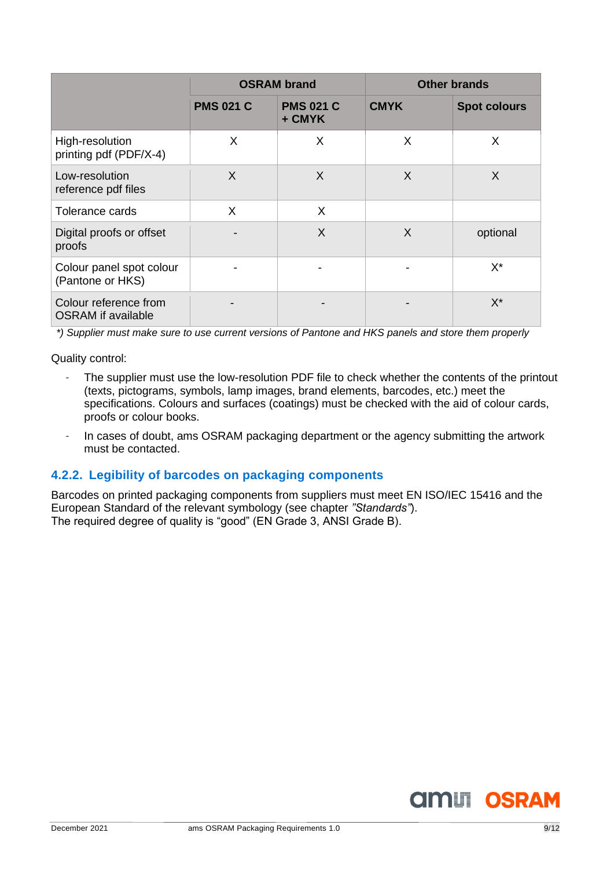|                                                    | <b>OSRAM brand</b> |                            | <b>Other brands</b> |                     |
|----------------------------------------------------|--------------------|----------------------------|---------------------|---------------------|
|                                                    | <b>PMS 021 C</b>   | <b>PMS 021 C</b><br>+ CMYK | <b>CMYK</b>         | <b>Spot colours</b> |
| High-resolution<br>printing pdf (PDF/X-4)          | X                  | X                          | X                   | X                   |
| Low-resolution<br>reference pdf files              | X                  | $\sf X$                    | X                   | $\sf X$             |
| Tolerance cards                                    | X                  | X                          |                     |                     |
| Digital proofs or offset<br>proofs                 |                    | $\sf X$                    | X                   | optional            |
| Colour panel spot colour<br>(Pantone or HKS)       |                    |                            |                     | $X^*$               |
| Colour reference from<br><b>OSRAM</b> if available |                    |                            |                     | $X^*$               |

*\*) Supplier must make sure to use current versions of Pantone and HKS panels and store them properly*

Quality control:

- The supplier must use the low-resolution PDF file to check whether the contents of the printout (texts, pictograms, symbols, lamp images, brand elements, barcodes, etc.) meet the specifications. Colours and surfaces (coatings) must be checked with the aid of colour cards, proofs or colour books.
- In cases of doubt, ams OSRAM packaging department or the agency submitting the artwork must be contacted.

# <span id="page-8-0"></span>**4.2.2. Legibility of barcodes on packaging components**

Barcodes on printed packaging components from suppliers must meet EN ISO/IEC 15416 and the European Standard of the relevant symbology (see chapter *"Standards"*). The required degree of quality is "good" (EN Grade 3, ANSI Grade B).

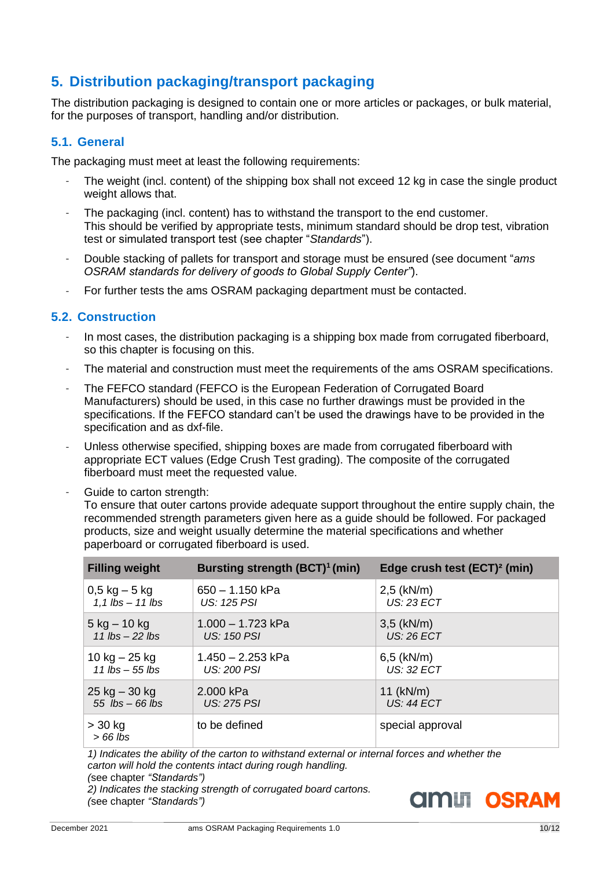# <span id="page-9-0"></span>**5. Distribution packaging/transport packaging**

The distribution packaging is designed to contain one or more articles or packages, or bulk material, for the purposes of transport, handling and/or distribution.

# <span id="page-9-1"></span>**5.1. General**

The packaging must meet at least the following requirements:

- The weight (incl. content) of the shipping box shall not exceed 12 kg in case the single product weight allows that.
- The packaging (incl. content) has to withstand the transport to the end customer. This should be verified by appropriate tests, minimum standard should be drop test, vibration test or simulated transport test (see chapter "*Standards*").
- Double stacking of pallets for transport and storage must be ensured (see document "*ams OSRAM standards for delivery of goods to Global Supply Center"*).
- For further tests the ams OSRAM packaging department must be contacted.

# <span id="page-9-2"></span>**5.2. Construction**

- In most cases, the distribution packaging is a shipping box made from corrugated fiberboard, so this chapter is focusing on this.
- The material and construction must meet the requirements of the ams OSRAM specifications.
- The FEFCO standard (FEFCO is the European Federation of Corrugated Board Manufacturers) should be used, in this case no further drawings must be provided in the specifications. If the FEFCO standard can't be used the drawings have to be provided in the specification and as dxf-file.
- Unless otherwise specified, shipping boxes are made from corrugated fiberboard with appropriate ECT values (Edge Crush Test grading). The composite of the corrugated fiberboard must meet the requested value.
- Guide to carton strength:

To ensure that outer cartons provide adequate support throughout the entire supply chain, the recommended strength parameters given here as a guide should be followed. For packaged products, size and weight usually determine the material specifications and whether paperboard or corrugated fiberboard is used.

| <b>Filling weight</b>  | Bursting strength (BCT) <sup>1</sup> (min) | Edge crush test (ECT) <sup>2</sup> (min) |
|------------------------|--------------------------------------------|------------------------------------------|
| $0,5$ kg $-5$ kg       | $650 - 1.150$ kPa                          | $2,5$ (kN/m)                             |
| 1,1 $lbs - 11$ $lbs$   | <b>US: 125 PSI</b>                         | <b>US: 23 ECT</b>                        |
| $5$ kg $-$ 10 kg       | 1.000 – 1.723 kPa                          | $3,5$ (kN/m)                             |
| 11 lbs $-$ 22 lbs      | <b>US: 150 PSI</b>                         | US: 26 ECT                               |
| 10 kg – 25 kg          | 1.450 - 2.253 kPa                          | $6,5$ (kN/m)                             |
| 11 $lbs - 55$ $lbs$    | $US: 200$ PSI                              | US: 32 ECT                               |
| $25$ kg $-30$ kg       | 2.000 kPa                                  | 11 $(kN/m)$                              |
| $55$ lbs $-66$ lbs     | <b>US: 275 PSI</b>                         | <b>US: 44 ECT</b>                        |
| $>$ 30 kg<br>$>66$ lbs | to be defined                              | special approval                         |

*1) Indicates the ability of the carton to withstand external or internal forces and whether the carton will hold the contents intact during rough handling. (*see chapter *"Standards")*

*2) Indicates the stacking strength of corrugated board cartons. (*see chapter *"Standards")*





**AMILI OSRAM**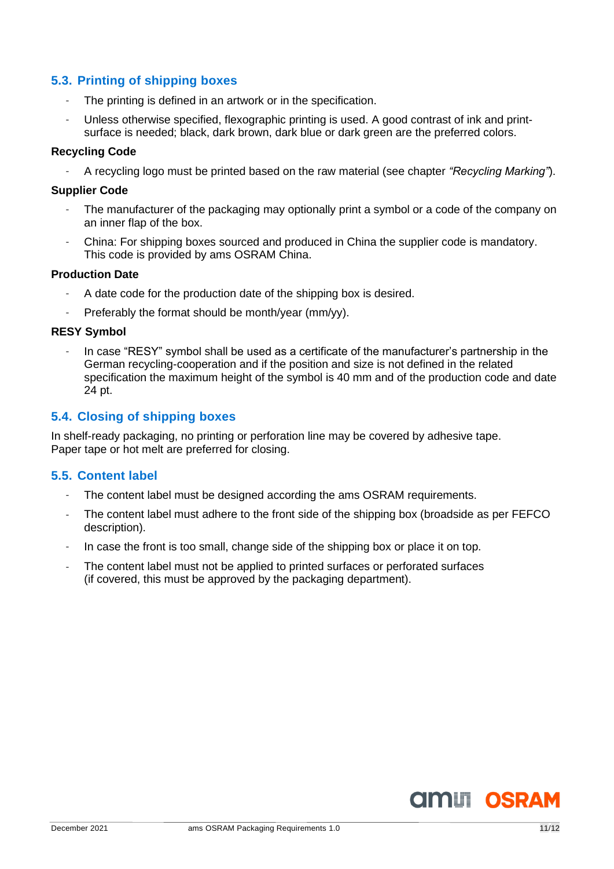# <span id="page-10-0"></span>**5.3. Printing of shipping boxes**

- The printing is defined in an artwork or in the specification.
- Unless otherwise specified, flexographic printing is used. A good contrast of ink and printsurface is needed; black, dark brown, dark blue or dark green are the preferred colors.

### **Recycling Code**

- A recycling logo must be printed based on the raw material (see chapter *"Recycling Marking"*).

### **Supplier Code**

- The manufacturer of the packaging may optionally print a symbol or a code of the company on an inner flap of the box.
- China: For shipping boxes sourced and produced in China the supplier code is mandatory. This code is provided by ams OSRAM China.

#### **Production Date**

- A date code for the production date of the shipping box is desired.
- Preferably the format should be month/year (mm/yy).

### **RESY Symbol**

In case "RESY" symbol shall be used as a certificate of the manufacturer's partnership in the German recycling-cooperation and if the position and size is not defined in the related specification the maximum height of the symbol is 40 mm and of the production code and date 24 pt.

# <span id="page-10-1"></span>**5.4. Closing of shipping boxes**

In shelf-ready packaging, no printing or perforation line may be covered by adhesive tape. Paper tape or hot melt are preferred for closing.

# <span id="page-10-2"></span>**5.5. Content label**

- The content label must be designed according the ams OSRAM requirements.
- The content label must adhere to the front side of the shipping box (broadside as per FEFCO description).
- In case the front is too small, change side of the shipping box or place it on top.
- The content label must not be applied to printed surfaces or perforated surfaces (if covered, this must be approved by the packaging department).